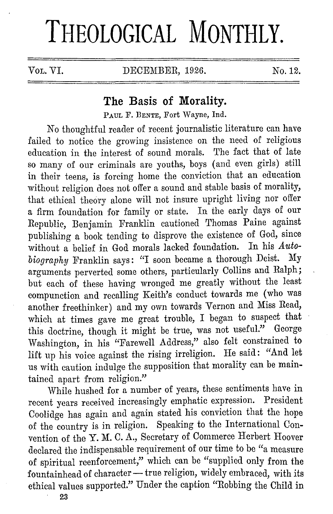# **THEOLOGICAL MONTHLY.**

VOL. VI. DECEMBER, 1926. No. 12.

## **The Basis of Morality.**

PAUL F. DENTE, Fort Wayne, Ind.

No thoughtful reader of recent journalistic literature can have failed to notice the growing insistence on the need of religious education in the interest of sound morals. The fact that of late so many of our criminals are youths, boys ( and even girls) still in their teens, is forcing home the conviction that an education without religion does not offer a sound and stable basis of morality, that ethical theory alone will not insure upright living nor offer a firm foundation for family or state. In the early days of our Republic, Benjamin Franklin cautioned Thomas Paine against publishing a book tending to disprove the existence of God, since<br>without a belief in God morals lacked foundation. In his Autowithout a belief in God morals lacked foundation. *biography* Franklin says: "I soon became a thorough Deist. My arguments perverted some others, particularly Collins and Ralph; but each of these having wronged me greatly without the least compunction and recalling Keith's conduct towards me (who was another freethinker) and my own towards Vernon and Miss Read, which at times gave me great trouble, I began to suspect that this doctrine, though it might be true, was not useful." George Washington, in his "Farewell Address," also felt constrained to lift up his voice against the rising irreligion. He said: "And let us with caution indulge the supposition that morality can be maintained apart from religion."

While hushed for a number of years, these sentiments have in recent years received increasingly emphatic expression. President Coolidge has again and again stated his conviction that the hope of the country is in religion. Speaking to the International Convention of the Y. M. C. A., Secretary of Commerce Herbert Hoover declared the indispensable requirement of our time to be "a measure of spiritual reenforcement," which can be "supplied only from the fountainhead of character- true religion, widely embraced, with its ethical values supported." Under the caption "Robbing the Child in

**23**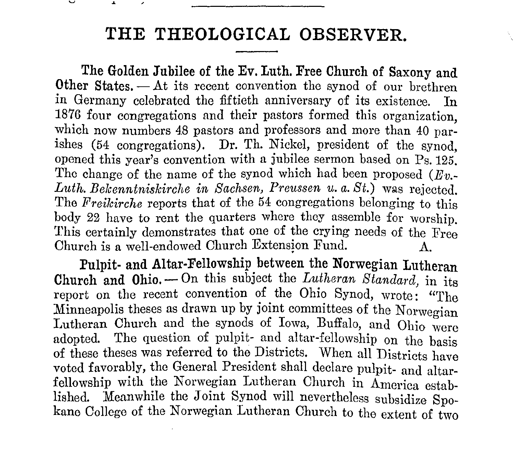## **THE THEOLOGICAL OBSERVER.**

**The Golden Jubilee of the Ev. Luth. Free Church of Saxony and Other States.** — At its recent convention the synod of our brethren in Germany celebrated the fiftieth anniversary of its existence. In 187G four congregations and their pastors formed this organization, which now numbers 48 pastors and professors and more than 40 parishes (54 congregations). Dr. Th. Nickel, president of the synod, opened this year's convention with a jubilee sermon based on Ps. 125. The change of the name of the synod which had been proposed  $(E_v, \cdot)$ Luth. Bekenntniskirche in Sachsen, Preussen u. a. St.) was rejected. The *Freikirche* reports that of the 54 congregations belonging to this body 22 have to rent the quarters where they assemble for worship. This certainly demonstrates that one of the crying needs of the Free Church is a well-endowed Church Extension Fund. A.

**Pulpit- and Altar-Fellowship between the Norwegian Lutheran**  Church and Ohio. - On this subject the *Lutheran Standard*, in its report on the recent convention of the Ohio Synod, wrote: "The Minneapolis theses as drawn up by joint committees of the Norwegian Lutheran Church and the synods of Iowa, Buffalo, and Ohio were adopted. The question of pulpit- and altar-fellowship on the basis of these theses was referred to the Districts. When all Districts have voted favorably, the General President shall declare pulpit- and altarfellowship with the Norwegian Lutheran Church in America established. Meanwhile the Joint Synod will nevertheless subsidize Spokane College of the Norwegian Lutheran Church to the extent of two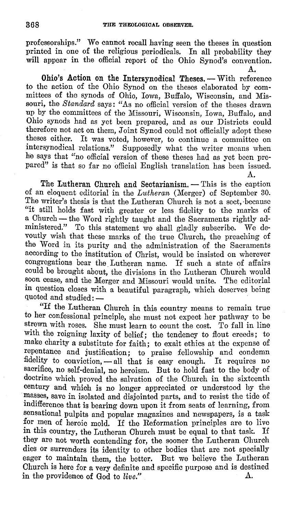professorships." We cannot recall having seen tho theses in question printed in one of the religious periodicals. In all probability they will appear in the official report of the Ohio Synod's convention.

A.

**Ohio's Action on the Intersynodical Theses. -- With reference** to the action of the Ohio Synod on the theses elaborated by committees of the synods of Ohio, Iowa, Buffalo, Wisconsin, and Missouri, the *Standard* says: "As no official version of the theses drawn up by the committees of the Missouri, Wisconsin, Iowa, Buffalo, and Ohio synods had as yet been prepared, and as our Districts could therefore not act on them, Joint Synod could not officially adopt these theses either. It was voted, however, to continue a committee on intersynodical relations." Supposedly what the writer means when he says that "no official version of these theses had as yet been prepared" is that so far no official English translation has been issued. A.

The Lutheran Church and Sectarianism.  $-$  This is the caption of an eloquent editorial in the *Lutheran* (Merger) of September 30. The writer's thesis is that the Lutheran Church is not a sect, because "it still holds fast with greater or less fidelity to the marks of a Church- the Word rightly taught and the Sacraments rightly administered." To this statement we shall gladly subscribe. We devoutly wish that these marks of the true Church, the preaching of the Word in its purity and the administration of the Sacraments according to the institution of Christ, would be insisted on wherever congregations bear the Lutheran name. If such a state of affairs could be brought about, the divisions in the Lutheran Church would soon cease, and the Merger and Missouri would unite. The editorial in question closes with a beautiful paragraph, which deserves being quoted and studied: --

"If the Lutheran Church in this country means to remain true to her confessional principle, she must not expect her pathway to be strewn with roses. She must learn to count the cost. To fall in line with the reigning laxity of belief; the tendency to flout creeds; to make charity a substitute for faith; to exalt ethics at the expense of repentance and justification; to praise fellowship and condemn fidelity to conviction, - all that is easy enough. It requires no sacrifice, no self-denial, no heroism. But to hold fast to the body of doctrine which proved the salvation of the Church in the sixteenth century and which is no longer appreciated or understood by the masses, save in isolated and disjointed parts, and to resist the tide of indifference that is bearing down upon it from seats of learning, from sensational pulpits and popular magazines and newspapers, is a task for men of heroic mold. If the Reformation principles are to live<br>in this country, the Lutheran Church must be equal to that task. If in this country, the Lutheran Church must be equal to that task. they are not worth contending for, the sooner the Lutheran Church dies or surrenders its identity to other bodies that are not specially eager to maintain them, the better. But we believe the Lutheran Church is here for a very definite and specific purpose and is destined in the providence of God to *live.*"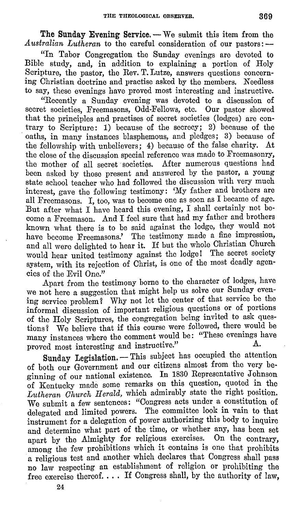The Sunday Evening Service. - We submit this item from the *Australian Lutheran* to the careful consideration of our pastors: -

. "In Tabor Congregation the Sunday evenings are devoted to Bible study, and, in addition to explaining a portion of Holy Scripture, the pastor, the Rev. T. Lutze, answers questions concernmg Christian doctrine and practise asked by the members. Needless to say, these evenings have proved most interesting and instructive.

"Recently a Sunday evening was devoted to a discussion of secret societies, Freemasons, Odd-Fellows, etc. Our pastor showed that the principles and practises 0£ secret societies (lodges) are contrary to Scripture: 1) because of the secrecy; 2) because of the oaths, in many instances blasphemous, and pledges; 3) because of the fellowship with unbelievers; 4) because of the false charity. At the close of the discussion special reference was made to Freemasonry, the mother of all secret societies. After numerous questions had been asked by those present and answered by the pastor, a young state school teacher who had followed the discussion with very much interest, gave the following testimony: 'My father and brothers are all Freemasons. I, too, was to become one as soon as I became of age. But after what I have heard this evening, I shall certainly not become a Freemason. And I feel sure that had my father and brothers known what there is to be said against the lodge, they would not have become Freemasons.' The testimony made a fine impression, and all were delighted to hear it. If but the whole Christian Church would hear united testimony against the lodge! The secret society system, with its rejection of Christ, is one of the most deadly agencies of the Evil One."

Apart from the testimony borne to the character of lodges, have we not here a suggestion that might help us solve our Sunday evening service problem? Why not let the center 0£ that service be the informal discussion of important religious questions or of portions of the Holy Scriptures, the congregation being invited to ask questions? We believe that i£ this course were followed, there would be many instances where the comment would be: "These evenings have proved most interesting and instructive."

Sunday Legislation. - This subject has occupied the attention of both our Government and our citizens almost from the very beginning of our national existence. In 1830 Representative Johnson of Kentucky made some remarks on this question, quoted in the *Lutheran Church Herald,* which admirably state the right position. We submit a few sentences: "Congress acts under a constitution of delegated and limited powers. The committee look in vain to that instrument for a delegation of power authorizing this body to inquire and determine what part of the time, or whether any, has been set apart by the Almighty for religious exercises. On the contrary, among the few prohibitions which it contains is one that prohibits a religious test and another which declares that Congress shall pass no law respecting an establishment of religion or prohibiting the free exercise thereof.... If Congress shall, by the authority of law,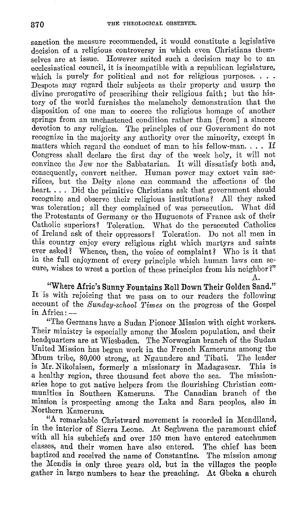sanction the measure recommended, it would constitute a legislative decision of a religious controversy in which even Christians themselves are at issue. However suited such a decision may be to an ecclesiastical council, it is incompatible with a republican legislature, which is purely for political and not for religious purposes.  $\ldots$ Despots may regard their subjects as their property and usurp the divine prerogative of prescribing their religious faith; but the history of the world furnishes the melancholy demonstration that the disposition of one man to coerce the religious homage of another springs from an unchastened condition rather than [from] a sincere devotion to any religion. The principles of our Government do not recognize in the majority any authority over the minority, except in matters which regard the conduct of man to his fellow-man.  $\ldots$  If Congress shall declare the first day of the week holy, it will not convince the Jew nor the Sabbatarian. It will dissatisfy both and, consequently, convert neither. Human power may extort vain sacrifices, but the Deity alone can command the affections of the heart.... Did the primitive Christians ask that government should recognize and observe their religious institutions? All they asked was toleration; all they complained of was persecution. What did the Protestants of Germany or the Huguenots of France ask of their Catholic superiors? Toleration. What do the persecuted Catholics of Ireland ask of their oppressors? Toleration. Do not all men in this country enjoy every religious right which martyrs and saints ever asked? Whence, then, the voice of complaint? Who is it that in the full enjoyment of every principle which human laws can secure, wishes to wrest a portion of these principles from his neighbor?"

**"Where Afric's Sunny Fountains Roll Down Their Golden Sand."**  It is with rejoicing that we pass on to our readers the following account of the *Sunday-school Times* on the progress of the Gospel in Africa: —

A.

"The Germans have a Sudan Pioneer Mission with eight workers. Their ministry is especially among the Moslem population, and their headquarters are at Wiesbaden. The Norwegian branch of the Sudan United Mission has begun work in the French Kameruns among the Mbum tribe, 80,000 strong, at Ngaundere and Tibati. The leader<br>is Mr. Nikolaisen, formerly a missionary in Madagascar. This is is Mr. Nikolaisen, formerly a missionary in Madagascar. This is a healthy region, three thousand feet above the sea. aries hope to get native helpers from the flourishing Christian communities in Southern Kameruns. The Canadian branch of the mission is prospecting among the Laka and Sara peoples, also in Northern Kameruns.

"A remarkable Christward movement is recorded in Mendiland, in the interior of Sierra Leone. At Segbwena the paramount chief with all his subchiefs and over 150 men have entered catechumen classes, and their women have also entered. The chief has been baptized and received the name of Constantine. The mission among the Mendis is only three years old, but in the villages the people gather in large numbers to hear the preaching. At Gbeka a church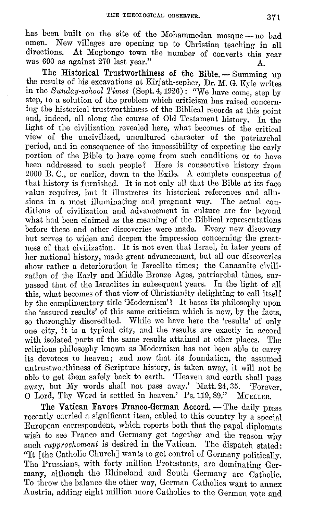has been built on the site of the Mohammedan mosque - no bad omen. New villages are opening up to Christian teaching in all omen. New villages are opening up to Christian teaching in all At Mogbongo town the number of converts this year was 600 as against 270 last year."

The Historical Trustworthiness of the Bible. - Summing up the results of his excavations at Kirjath-sepher, Dr. M. G. Kyle writes in the *Sunday-school Times* (Sept. 4, 1926): "We have come, step by step, to a solution of the problem which criticism has raised concerning the historical trustworthiness of the Biblical records at this point and, indeed, all along the course of Old Testament history. In the light of the civilization revealed here, what becomes of the critical view of the uncivilized, uncultured character of the patriarchal period, and in consequence of the impossibility of expecting the early portion of the Bible to have come from such conditions or to have been addressed to such people? Here is consecutive history from 2000 B. 0., or earlier, down to the Exile. A complete conspectus of that history is furnished. It is not only all that the Bible at its face value requires, but it illustrates its historical references and allusions in a most illuminating and pregnant way. The actual conditions of civilization and advancement in culture are far beyond what had been claimed as the meaning of the Biblical representations before these and other discoveries were made. Every new discovery but serves to widen and deepen the impression concerning the greatness of that civilization. It is not even that Israel, in later years of her national history, made great advancement, but all our discoveries show rather a deterioration in Israelite times; the Canaanite civilization of the Early and Middle Bronze Ages, patriarchal times, surpassed that of the Israelites in subsequent years. In the light of all this, what becomes of that view of Christianity delighting to call itself by the complimentary title 'Modernism'? It bases its philosophy upon the 'assured results' of this same criticism which is now, by the facts, so thoroughly discredited. While we have here the 'results' of only one city, it is a typical city, and the results are exactly in accord with isolated parts of the same results attained at other places. The religious philosophy known as Modernism has not been able to carry its devotees to heaven; and now that its foundation, the assumed untrustworthiness of Scripture history, is taken away, it will not be able to get them safely back to earth. 'Heaven and earth shall pass away, but My words shall not pass away.' Matt. 24, 35. 'Forever, **O** Lord, Thy Word is settled in heaven.' Ps. 119, 89." MUELLER.

The Vatican Favors Franco-German Accord. - The daily press recently carried a significant item, cabled to this country by a special European correspondent, which reports both that the papal diplomats wish to see France and Germany get together and the reason why such *rapprochement* is desired in the Vatican. The dispatch stated: "It [the Catholic Church] wants to get control of Germany politically. Tho Prussians, with forty million Protestants, are dominating Germany, although the Rhineland and South Germany are Catholic. To throw the balance the other way, German Catholics want to annex Austria, adding eight million more Catholics to the German vote and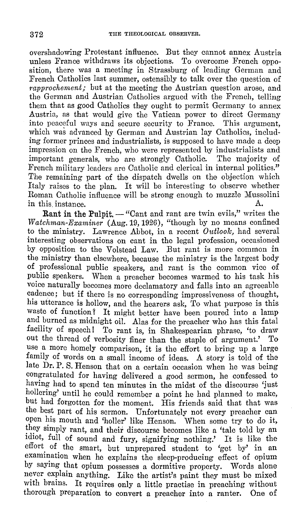overshadowing Protestant influence. But they cannot annex Austria unless France withdraws its objections. To overcome French opposition, there was a meeting in Strassburg of leading German and French Catholics last summer, ostensibly to talk over the question of *rapprochement;* but at the meeting the Austrian question arose, and the German and Austrian Catholics argued with the French, telling them that as good Catholics they ought to permit Germany to annex Austria, as that would give the Vatican power to direct Germany into peaceful ways and secure security to France. This argument, which was advanced by German and Austrian lay Catholics, including former princes and industrialists, is supposed to have made a deep impression on the French, who were represented by industrialists and important generals, who are strongly Catholic. The majority of important generals, who are strongly Catholic. French military leaders are Catholic and clerical **in** internal politics." The remaining part of the dispatch dwells on the objection which Italy raises to the plan. It will be interesting to observe whether Roman Catholic influence will be strong enough to muzzle Mussolini in this instance.

**Rant in the Pulpit.** — "Cant and rant are twin evils," writes the *Watchman-Examiner* (Aug.19, 1926), "though by no means confined to the ministry. Lawrence Abbot, in a recent *Outloolc,* had several interesting observations on cant in the legal profession, occasioned by opposition to the Volstead Law. But rant is more common in the ministry than elsewhere, because the ministry is the largest body 0£ professional public speakers, and rant is the common vice of public speakers. When a preacher becomes warmed to his task his voice naturally becomes more declamatory and falls into an agreeable cadence; but if there is no corresponding impressiveness of thought, his utterance is hollow, and the hearers ask, To what purpose is this waste of function? It might better have been poured into a lamp and burned as midnight oil. Alas for the preacher who has this fatal facility of speech! To rant is, in Shakespearian phrase, 'to draw out the thread of verbosity finer than the staple of argument.' use a more homely comparison, it is the effort to bring up a large family of words on a small income of ideas. A story is told of the late Dr. P. S. Henson that on a certain occasion when he was being congratulated for having delivered a good sermon, he confessed to having had to spend ten minutes in the midst of the discourse 'just hollering' until he could remember a point he had planned to make, but had forgotten for the moment. His friends said that that was the best part of his sermon. Unfortunately not every preacher can open his mouth and 'holler' like Henson. When some try to do it, they simply rant, and their discourse becomes like a 'tale told by an idiot, full of sound and fury, signifying nothing.' It is like the effort of the smart, but unprepared student to 'get by' in an examination when he explains the sleep-producing effect of opium by saymg that opium possesses a dormitive property. Words alone never explain anything. Like the artist's paint they must be mixed with brains. It requires only a little practise in preaching without thorough preparation to convert a preacher into a ranter. One of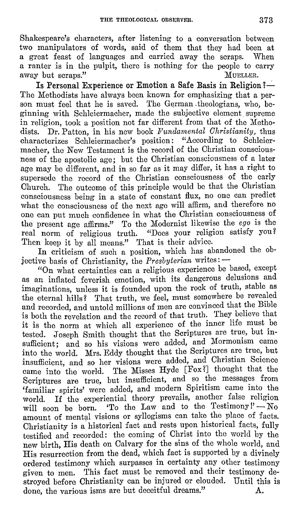Shakespeare's characters, after listening to a conversation between two manipulators of words, said of them that they had been at a great feast of languages and carried away the scraps. When a ranter is in the pulpit, there is nothing for the people to carry away but scraps." away but scraps."

Is Personal Experience or Emotion a Safe Basis in Religion ?-The Methodists have always been known for emphasizing that a person must feel that he is saved. The German theologians, who, beginning with Schleiermacher, made the subjective element supreme in religion, took a position not far different from that of the Methodists. Dr. Patton, in his new book *Pundamental Christianity,* thus characterizes Schleiermacher's position: "According to Schleiermacher, the New Testament is the record of the Christian consciousness of the apostolic age; but the Christian consciousness of a later age may be different, and in so for as it may differ, it has a right to supersede the record of the Christian consciousness of the early Church. The outcome of this principle would be that the Christian consciousness being in a state of constant flux, no one can predict what the consciousness of the next age will affirm, and therefore no one can put much confidence in what the Christian consciousness of the present age affirms." To the Modernist likewise the *ego* is the real norm of religious truth. "Does your religion satisfy you? Then keep it by all means." That is their advice.

In criticism of such a position, which has abandoned the objective basis of Christianity, the *Presbyterian* writes: --

"On what certainties can a religious experience be based, except as an inflated feverish emotion, with its dangerous delusions and imaginations, unless it is founded upon the rock of truth, stable as the eternal hills? That truth, we feel, must somewhere be revealed and recorded, and untold millions of men are convinced that the Bible is both the revelation and the record of that truth. They believe that it is the norm at which all experience of the inner life must be tested. Joseph Smith thought that the Scriptures are true, but insufficient; and so his visions were added, and Mormonism came into the world. Mrs. Eddy thought that the Scriptures are true, but insufficient, and so her visions were added, and Christian Science came into the world. The Misses Hyde [Fox?] thought that the Scriptures are true, but insufficient, and so the messages from 'familiar spirits' were added, and modern Spiritism came into the world. If the experiential theory prevails, another false religion will soon be born. 'To the Law and to the Testimony  $? - No$ amount of mental visions or syllogisms can take the place of facts. Christianity is a historical fact and rests upon historical facts, fully testified and recorded: the coming of Christ into the world by the new birth, His death on Calvary for the sins of the whole world, and His resurrection from the dead, which fact is supported by a divinely ordered testimony which surpasses in certainty any other testimony given to men. This £act must be removed and their testimony destroyed before Christianity can be injured or clouded. Until this is done, the various isms are but deceitful dreams." A.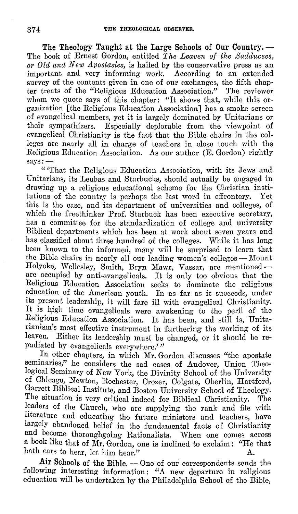The Theology Taught at the Large Schools of Our Country. — The book of Ernest Gordon, entitled *The Leaven of the Sadducees, or Old and New Apostasies,* is hailed by the conservative press as an important and very informing work. According to an extended survey of the contents given in one of our exchanges, the fifth chapter treats of the "Religious Education Association." The reviewer whom we quote says of this chapter: "It shows that, while this organization [the Religious Education Association] has a smoke screen of evangelical members, yet it is largely dominated by Unitarians or their sympathizers. Especially deplorable from the viewpoint of evangelical Christianity is the fact that the Bible chairs in the colleges are nearly all in charge of teachers in close touch with the Religious Education Association. As our author (E. Gordon) rightly says:-

" 'That the Religious Education Association, with its Jews and Unitarians, its Lcubas and Starbucks, should actually be engaged in drawing up a religious educational scheme for the Christian institutions of the country is perhaps the last word in effrontery. this is the case, and its department of universities and colleges, of which the freethinker Prof. Starbuck has been executive secretary, has a committee for the standardization of college and university Biblical departments which has been at work about seven years and has classified about three hundred of the colleges. While it has long been known to the informed, many will be surprised to learn that the Bible chairs in nearly all our leading women's colleges -- Mount Holyoke, Wellesley, Smith, Bryn Mawr, Vassar, are mentioned -arc occupied by anti-evangelicals. It is only too obvious that the Religious Education Association seeks to dominate the religious education of the American youth. In as far as it succeeds, under its present leadership, it will fare ill with evangelical Christianity. It is high time evangelicals were awakening to the peril of the Religious Education Association. It has been, and still is, Unitarianism's most effective instrument in furthering the working of its leaven. Either its leadership must be changed, or it should be repudiated by evangelicals everywhere.'"

In other chapters, in which Mr. Gordon discusses "the apostate seminaries," he considers the sad cases of Andover, Union Theological Seminary of New York, the Divinity School of the University of Chicago, Newton, Rochester, Crozer, Colgate, Oberlin, Hartford, Garrett Biblical Institute, and Boston University School of Theology. Tho situation is very critical indeed for Biblical Christianity. The leaders of the Church, who are supplying the rank and file with literature and educating the future ministers and teachers, have largely abandoned belief in the fundamental facts of Christianity and become thoroughgoing Rationalists. When one comes across a book like that of Mr. Gordon, one is inclined to exclaim: "He that hath ears to hear, let him hear."  $\Lambda$ .

Air Schools of the Bible. - One of our correspondents sends the following interesting information: **"A** new departure in religious education will be undertaken by the Philadelphia School of the Bible,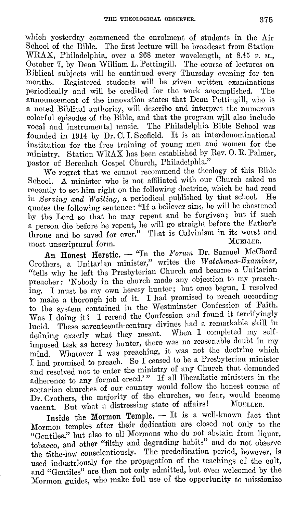which yesterday commenced the enrolment of students in the Air School of the Bible. The first lecture will be broadcast from Station WRAX, Philadelphia, over a 268 meter wavelength, at 8.45 P. M., October 7, by Dean William L. Pettingill. The course of lectures on Biblical subjects will be continued every Thursday evening for ten Registered students will be given written examinations<br>w and will be credited for the work accomplished. The periodically and will be credited for the work accomplished. announcement of the innovation states that Dean Pettingill, who is a noted Biblical authority, will describe and interpret the numerous colorful episodes of the Bible, and that the program wjll also include vocal and instrumental music. The Philadelphia Bible School was founded in 1914 by Dr. 0. I. Scofield. It is an interdenominational institution for the free training of young men and women for the ministry. Station WRAX has been established by Rev. 0. R. Palmer, pastor of Berechah Gospel Church, Philadelphia."

We regret that we cannot recommend the theology of this Bible School. A minister who is not affiliated with our Church asked us recently to set him right on the following doctrine, which he had read in *Serving and Waiting,* a periodical published by that school. He quotes the following sentence: "If a believer sins, he will be chastened by the Lord so that he may repent and be forgiven; but if such a person die before he repent, he will go straight before the Father's throne and be saved for ever." That is Calvinism in its worst and most unscriptural form. The matrix of the multiple most unscriptural form.

An Honest Heretic. - "In the *Forum* Dr. Samuel McChord Crothers, a Unitarian minister," writes the *Watchman-Examiner*, "tells why he left the Presbyterian Church and became a Unitarian preacher: 'Nobody in the church made any objection to my preaching. I must be my own heresy hunter; but once begun, I resolved to make a thorough job of it. I had promised to preach according to the system contained in the Westminster Confession of Faith. Was I doing it? I reread the Confession and found it terrifyingly lucid. These seventeenth-century divines had a remarkable skill in defining exactly what they meant. When I completed my selfimposed task as heresy hunter, there was no reasonable doubt in my mind. Whatever I was preaching, it was not the doctrine which I had promised to preach. So I ceased to be a Presbyterian minister and resolved not to enter the ministry of any Church that demanded adherence to any formal creed.'" If all liberalistic ministers in the sectarian churches of our country would follow the honest course of Dr. Crothers, the majority of the churches, we fear, would become<br>wearnt, But what a distressing state of affairs! MUELLER. vacant. But what a distressing state of affairs!

Inside the Mormon Temple. - It is a well-known fact that Mormon temples after their dedication are closed not only to the "Gentiles," but also to all Mormons who do not abstain from liquor, tobacco, and other "filthy and degrading habits" and do not observe the tithe-law conscientiously. The rrededication period, however, is used industriously for the propagation of the teachings of the cult, and "Gentiles" are then not only admitted, but even welcomed by the Mormon guides, who make full use of the opportunity to missionize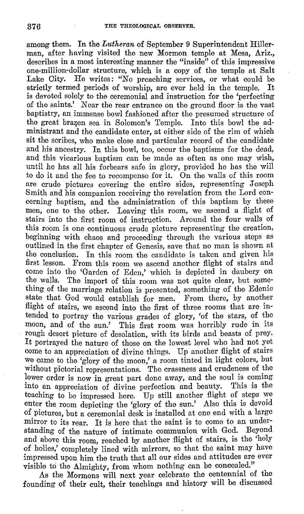among them. In the *Lutheran* of September 9 Superintendent Hillerman, after having visited the new Mormon temple at Mesa, Ariz., describes in a most interesting manner the "inside" of this impressive one-million-dollar structure, which is a copy of the temple at Salt Lake City. He writes: "No preaching services, or what could be strictly termed periods of worship, are ever held in the temple. It strictly termed periods of worship, are ever held in the temple. is devoted solely to the ceremonial and instruction for the 'perfecting of the saints.' Near the rear entrance on the ground floor is the vast baptistry, an immense bowl fashioned after the presumed structure of the great brazen sea in Solomon's Temple. Into this bowl the administrant and the candidate enter, at either side of the rim of which sit the scribes, who make close and particular record of the candidate and his ancestry. In this bowl, too, occur the baptisms for the dead, and this vicarious baptism can be made as often as one may wish, until he has all his forbears safe in glory, provided he has the will to do it and the fee to recompense for it. On the walls of this room are crude pictures covering the entire sides, representing Joseph Smith and his companion receiving the revelation from the Lord concerning baptism, and the administration of this baptism by these men, one to the other. Leaving this room, we ascend a flight of stairs into the first room of instruction. Around the four walls of this room is one continuous crude picture representing the creation, beginning with chaos and proceeding through the various steps as outlined in the first chapter of Genesis, save that no man is shown at the conclusion. In this room the candidate is taken and given his first lesson. From this room we ascend another flight of stairs and come into the 'Garden of Eden,' which is depicted in daubery on the walls. The import of this room was not quite clear, but something of the marriage relation is presented, something of the Edenic state that God would establish for men. From there, by another flight of stairs, we ascend into the first of three rooms that are intended to portray the various grades of glory, 'of the stars, of the moon, and of the sun.' This first room was horribly rude in its rough desert picture of desolation, with its birds and beasts of prey. It portrayed the nature of those on the lowest level who had not yet come to an appreciation of divine things. Up another flight of stairs we came to the 'glory of the moon,' a room tinted in light colors, but without pictorial representations. The crassness and crudeness of the lower order is now in great part done away, and the soul is coming into an appreciation of divine perfection and beauty. This is the teaching to be impressed here. Up still another flight of steps we enter the room depicting the 'glory of the sun.' Also this is devoid of pictures, but a ceremonial desk is installed at one end with a large mirror to its rear. It is here that the saint is to come to an understanding of the nature of intimate communion with God. Beyond and above this room, reached by another flight of stairs, is the 'holy of holies,' completely lined with mirrors, so that the saint may have impressed upon him the truth that all our sides and attitudes are ever visible to the Almighty, from whom nothing can be concealed."

As the Mormons will next year celebrate the centennial of the founding of their cult, their teachings and history will be discussed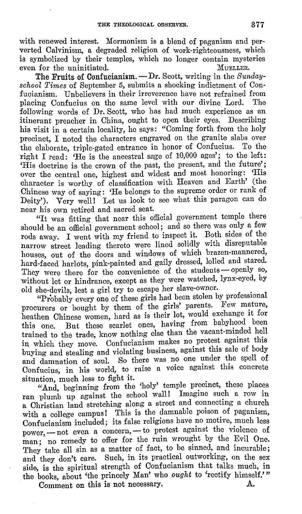with renewed interest. Mormonism is a blend of paganism and perverted Calvinism, a degraded religion of work-righteousness, which is symbolized by their temples, which no longer contain mysteries even for the uninitiated. MUELLER. even for the uninitiated.

The Fruits of Confucianism. — Dr. Scott, writing in the *Sundayschool Times* of September 5, submits a shocking indictment of Confucianism. Unbelievers in their irreverence have not refrained from<br>placing Confucius on the same level with our divine Lord. The placing Confucius on the same level with our divine Lord. following words of Dr. Scott, who has had much experience as an itinerant preacher in China, ought to open their eves. Describing itinerant preacher in China, ought to open their eyes. his visit in a certain locality, he says: "Coming forth from the holy precinct, I noted the characters engraved on the granite slabs over the elaborate, triple-gated entrance in honor of Confucius. To the right I read: 'He is the ancestral sage of 10,000 ages'; to the left: 'His doctrine is the crown of the past, the present, and the future'; over the central one, highest and widest and most honoring: 'His character is worthy of classification with Heaven and Earth' (the Chinese way of saying: 'He belongs to the supreme order or rank of Deity'). Very well! Let us look to see what this paragon can do near his own retired and sacred seat.

"It was fitting that near this official government temple there should be an official government school; and so there was only a few rods away. I went with my friend to inspect it. Both sides of the narrow street leading thereto were lined solidly with disreputable houses, out of the doors and windows of which brazen-mannered, hard-faced harlots, pink-painted and gaily dressed, lolled and stared. They were there for the convenience of the students - openly so, without let or hindrance, except as they were watched, lynx-eyed, by old she-devils, lest a girl try to escape her slave-owner.

"Probably every one of these girls had been stolen by professional procurers or bought by them of the girls' parents. Few mature, heathen Chinese women, hard as is their lot, would exchange it for this one. But these scarlet ones, having from babyhood been trained to the trade, know nothing else than the vacant-minded hell in which they move. Confucianism makes no protest against this buying and stealing and violating business, against this sale of body and damnation of soul. So there was no one under the spell of Confucius, in his world, to raise a voice against this concrete situation, much less to fight it.

"And, beginning from the 'holy' temple precinct, these places ran plumb up against the school wall! Imagine such a row in a Christian land stretching along a street and connecting a church with a college campus! This is the damnable poison of paganism, Confucianism included; its false religions have no motive, much less power, - not even a concern, - to protest against the violence of man; no remedy to offer for the ruin wrought by the Evil One. They take all sin as a matter of fact, to be sinned, and incurable: and they don't care. Such, in its practical outworking, on the sex side, is the spiritual strength of Confucianism that talks much, in the books, about 'the princely Man' who *ought* to 'rectify himself.'"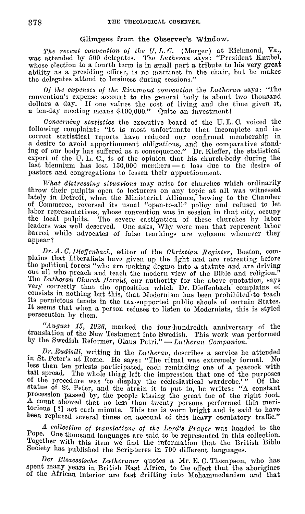### Glimpses from the Observer's Window.

*'l'he recent convention of the U. L. (],* (Merger) at Richmond, Va., was attended by 500 delegates. The *Lutheran* says: "President Knubel, whose election to a fourth term is in small part a tribute to his very great ability as a presiding officer, is no martinet in the chair, but he makes the delegates attend to business during sessions."

*Of the expenses of the Richrnoml convention* the *L1tthcran* says: "The convention's expense account to the general body is about two thousand dollars a day. If one values the cost of living and the time given it, a ten-day meeting means \$100,000." Quite an investment!

*Concerning statistics* the executive board of the U. L. C. voiced the following complaint: "It is most unfortunate that incomplete and incorrect statistical reports have reduced our confirmed memhership in a desire to avoid apportionment obligations, and the comparative stand-ing of our body has suffered as ii consequence." Dr. Kieffer, the statistical expert of the U. L. C., is of the opinion that his church-body during the last biennium has lost  $150,000$  members  $-$  a loss due to the desire of pastors and congregations to lessen their apportionment.

*What distressing situations* may arise for churches which ordinarily throw their pulpits open to lecturers on any topic at **all** was witnessed lately in Detroit, when the Ministerial Alliance, bowing to the Chamber of Commerce, reversed its usual "open-to-all" policy and refused to let labor representatives, whose convention was in session **in** that city, occupy the local pulpits. The severe castigation of these churches by labor leaders was well deserved. One asks, Why were men that represent labor barred while advocates of false teachings are welcome whenever they appear?

Dr. A. C. Dieffenbach, editor of the *Ohristian Register*, Boston, com-<br>plains that Liberalists have given up the fight and arc retreating before the political forces "who are making dogma into a statute and are driving out all who preach and teach the modern view of the Bible and religion. The *Lutheran Church Herald*, our authority for the above quotation, says very correctly that the opposition which Dr. Dieffenbach complains of consists in nothing but this, that Modernism has been prohibited to teach its pernicious tenets in the tax-supported public shools of certain States. It seems that when a person refuses to listen to Modernists, this is styled persecution by them.

"August 15, 1926, marked the four-hundredth anniversary of the translation of the New Testament into Swedish. This work was performed by the Swedish Reformer, Olaus Petri." - Lutheran Companion.

. *Dr. Rudisill,* writing in the *Lutheran,* describes a service he attended m St. Peter's at Rome. He says: "The ritual was extremely fornml. No less than ten priests participated, each reminding one of a peacock with tail spread, The whole thing left the impression that one of the purposes of the procedure was 'to display the ecclesiastical wardrobe.'" Of the statue of St. Peter, and the strain it is put to, he writes: "A constant procession passed by, the people kissing the great toe of the right foot. A count showed that no less than twenty persons performed this meritorious [?] act each minute. This toe is worn bright and is said to have been replaced several times on account of this heavy osculatory traffic."

,1 *collection of transla.tions of the Lord's Prayer* was handed to the Pope. One thousand languages arc said to be represented in this collection. Together with this item we find the information that the British Bible Society has published the Scriptures in 700 different languages.

*Der Elsaessische Luthcraner* quotes a Mr. K C. Thompson, who has spent many years in British East Africa, to the effect that the aborigines of the African interior arc fast drifting into Mohammedanism and that